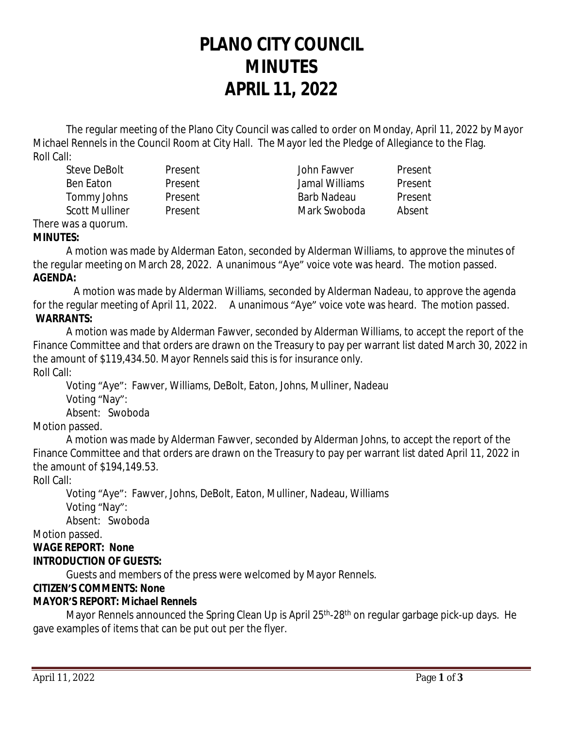# **PLANO CITY COUNCIL MINUTES APRIL 11, 2022**

The regular meeting of the Plano City Council was called to order on Monday, April 11, 2022 by Mayor Michael Rennels in the Council Room at City Hall. The Mayor led the Pledge of Allegiance to the Flag. Roll Call:

| Steve DeBolt          | Present        | John Fawver    | Present |
|-----------------------|----------------|----------------|---------|
| <b>Ben Eaton</b>      | Present        | Jamal Williams | Present |
| Tommy Johns           | <b>Present</b> | Barb Nadeau    | Present |
| <b>Scott Mulliner</b> | Present        | Mark Swoboda   | Absent  |

#### There was a quorum. **MINUTES:**

A motion was made by Alderman Eaton, seconded by Alderman Williams, to approve the minutes of the regular meeting on March 28, 2022. A unanimous "Aye" voice vote was heard. The motion passed. **AGENDA:**

 A motion was made by Alderman Williams, seconded by Alderman Nadeau, to approve the agenda for the regular meeting of April 11, 2022. A unanimous "Aye" voice vote was heard. The motion passed. **WARRANTS:**

A motion was made by Alderman Fawver, seconded by Alderman Williams, to accept the report of the Finance Committee and that orders are drawn on the Treasury to pay per warrant list dated March 30, 2022 in the amount of \$119,434.50. Mayor Rennels said this is for insurance only. Roll Call:

Voting "Aye": Fawver, Williams, DeBolt, Eaton, Johns, Mulliner, Nadeau Voting "Nay": Absent: Swoboda

# Motion passed.

A motion was made by Alderman Fawver, seconded by Alderman Johns, to accept the report of the Finance Committee and that orders are drawn on the Treasury to pay per warrant list dated April 11, 2022 in the amount of \$194,149.53.

# Roll Call:

Voting "Aye": Fawver, Johns, DeBolt, Eaton, Mulliner, Nadeau, Williams Voting "Nay":

Absent: Swoboda

Motion passed.

# **WAGE REPORT: None**

# **INTRODUCTION OF GUESTS:**

Guests and members of the press were welcomed by Mayor Rennels.

# **CITIZEN'S COMMENTS: None**

# **MAYOR'S REPORT:** *Michael Rennels*

Mayor Rennels announced the Spring Clean Up is April 25<sup>th</sup>-28<sup>th</sup> on regular garbage pick-up days. He gave examples of items that can be put out per the flyer.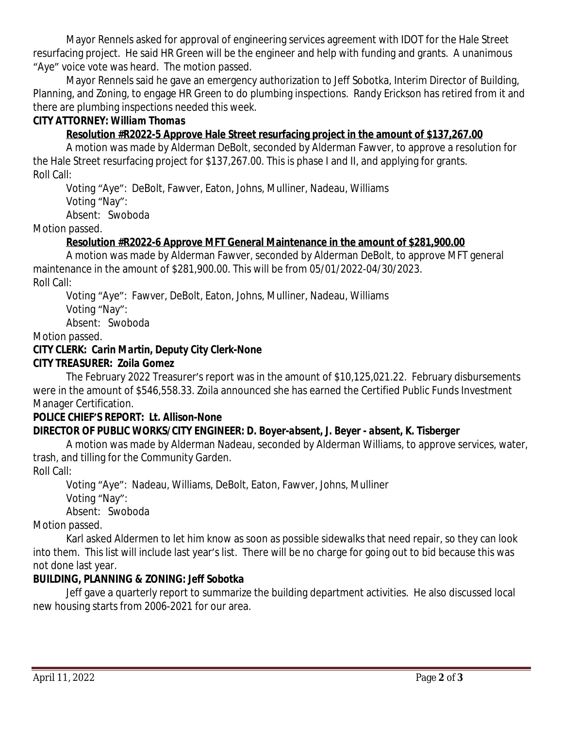Mayor Rennels asked for approval of engineering services agreement with IDOT for the Hale Street resurfacing project. He said HR Green will be the engineer and help with funding and grants. A unanimous "Aye" voice vote was heard. The motion passed.

Mayor Rennels said he gave an emergency authorization to Jeff Sobotka, Interim Director of Building, Planning, and Zoning, to engage HR Green to do plumbing inspections. Randy Erickson has retired from it and there are plumbing inspections needed this week.

### **CITY ATTORNEY:** *William Thomas*

# **Resolution #R2022-5 Approve Hale Street resurfacing project in the amount of \$137,267.00**

A motion was made by Alderman DeBolt, seconded by Alderman Fawver, to approve a resolution for the Hale Street resurfacing project for \$137,267.00. This is phase I and II, and applying for grants. Roll Call:

Voting "Aye": DeBolt, Fawver, Eaton, Johns, Mulliner, Nadeau, Williams

Voting "Nay":

Absent: Swoboda

Motion passed.

# **Resolution #R2022-6 Approve MFT General Maintenance in the amount of \$281,900.00**

A motion was made by Alderman Fawver, seconded by Alderman DeBolt, to approve MFT general maintenance in the amount of \$281,900.00. This will be from 05/01/2022-04/30/2023.

Roll Call:

Voting "Aye": Fawver, DeBolt, Eaton, Johns, Mulliner, Nadeau, Williams

Voting "Nay":

Absent: Swoboda

Motion passed.

# **CITY CLERK:** *Carin Martin, Deputy City Clerk-***None**

## **CITY TREASURER***: Zoila Gomez*

The February 2022 Treasurer's report was in the amount of \$10,125,021.22. February disbursements were in the amount of \$546,558.33. Zoila announced she has earned the Certified Public Funds Investment Manager Certification.

#### **POLICE CHIEF'S REPORT:** *Lt. Allison***-None**

# **DIRECTOR OF PUBLIC WORKS/CITY ENGINEER***: D. Boyer-absent, J. Beyer - absent, K. Tisberger*

A motion was made by Alderman Nadeau, seconded by Alderman Williams, to approve services, water, trash, and tilling for the Community Garden.

Roll Call:

Voting "Aye": Nadeau, Williams, DeBolt, Eaton, Fawver, Johns, Mulliner Voting "Nay":

Absent: Swoboda

Motion passed.

Karl asked Aldermen to let him know as soon as possible sidewalks that need repair, so they can look into them. This list will include last year's list. There will be no charge for going out to bid because this was not done last year.

# **BUILDING, PLANNING & ZONING:** *Jeff Sobotka*

Jeff gave a quarterly report to summarize the building department activities. He also discussed local new housing starts from 2006-2021 for our area.